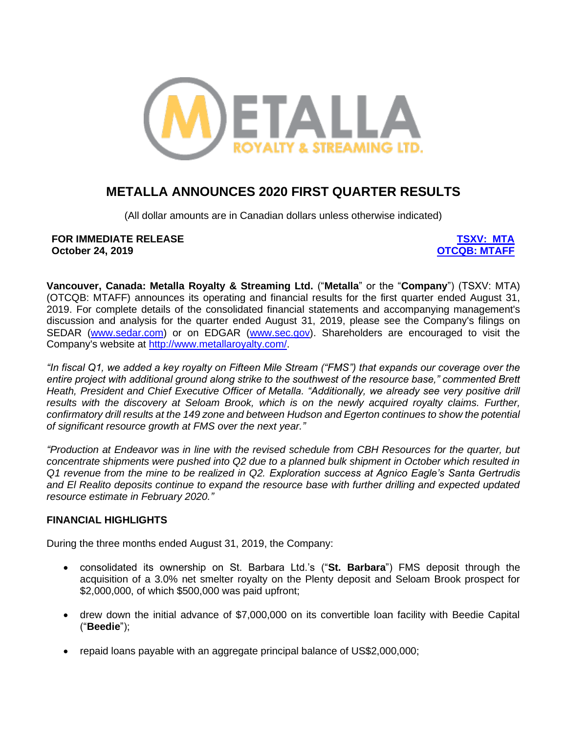

# **METALLA ANNOUNCES 2020 FIRST QUARTER RESULTS**

(All dollar amounts are in Canadian dollars unless otherwise indicated)

**FOR IMMEDIATE RELEASE [TSXV: MTA](https://web.tmxmoney.com/quote.php?qm_symbol=MTA) October 24, 2019** 

**Vancouver, Canada: Metalla Royalty & Streaming Ltd.** ("**Metalla**" or the "**Company**") (TSXV: MTA) (OTCQB: MTAFF) announces its operating and financial results for the first quarter ended August 31, 2019. For complete details of the consolidated financial statements and accompanying management's discussion and analysis for the quarter ended August 31, 2019, please see the Company's filings on SEDAR [\(www.sedar.com\)](http://www.sedar.com/) or on EDGAR [\(www.sec.gov\)](http://www.sec.gov/). Shareholders are encouraged to visit the Company's website at [http://www.metallaroyalty.com/.](http://www.metallaroyalty.com/)

*"In fiscal Q1, we added a key royalty on Fifteen Mile Stream ("FMS") that expands our coverage over the entire project with additional ground along strike to the southwest of the resource base," commented Brett Heath, President and Chief Executive Officer of Metalla. "Additionally, we already see very positive drill results with the discovery at Seloam Brook, which is on the newly acquired royalty claims. Further, confirmatory drill results at the 149 zone and between Hudson and Egerton continues to show the potential of significant resource growth at FMS over the next year."*

*"Production at Endeavor was in line with the revised schedule from CBH Resources for the quarter, but concentrate shipments were pushed into Q2 due to a planned bulk shipment in October which resulted in Q1 revenue from the mine to be realized in Q2. Exploration success at Agnico Eagle's Santa Gertrudis and El Realito deposits continue to expand the resource base with further drilling and expected updated resource estimate in February 2020."*

### **FINANCIAL HIGHLIGHTS**

During the three months ended August 31, 2019, the Company:

- consolidated its ownership on St. Barbara Ltd.'s ("**St. Barbara**") FMS deposit through the acquisition of a 3.0% net smelter royalty on the Plenty deposit and Seloam Brook prospect for \$2,000,000, of which \$500,000 was paid upfront;
- drew down the initial advance of \$7,000,000 on its convertible loan facility with Beedie Capital ("**Beedie**");
- repaid loans payable with an aggregate principal balance of US\$2,000,000;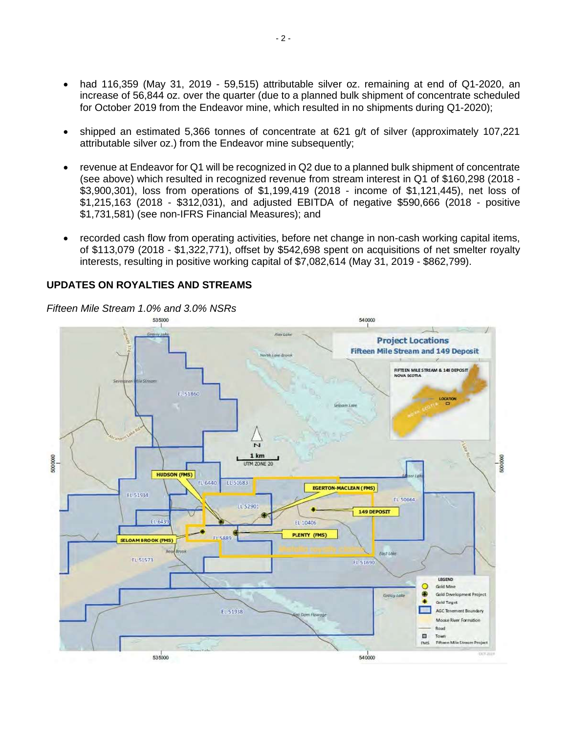- had 116,359 (May 31, 2019 59,515) attributable silver oz. remaining at end of Q1-2020, an increase of 56,844 oz. over the quarter (due to a planned bulk shipment of concentrate scheduled for October 2019 from the Endeavor mine, which resulted in no shipments during Q1-2020);
- shipped an estimated 5,366 tonnes of concentrate at 621 g/t of silver (approximately 107,221 attributable silver oz.) from the Endeavor mine subsequently;
- revenue at Endeavor for Q1 will be recognized in Q2 due to a planned bulk shipment of concentrate (see above) which resulted in recognized revenue from stream interest in Q1 of \$160,298 (2018 - \$3,900,301), loss from operations of \$1,199,419 (2018 - income of \$1,121,445), net loss of \$1,215,163 (2018 - \$312,031), and adjusted EBITDA of negative \$590,666 (2018 - positive \$1,731,581) (see non-IFRS Financial Measures); and
- recorded cash flow from operating activities, before net change in non-cash working capital items, of \$113,079 (2018 - \$1,322,771), offset by \$542,698 spent on acquisitions of net smelter royalty interests, resulting in positive working capital of \$7,082,614 (May 31, 2019 - \$862,799).

### **UPDATES ON ROYALTIES AND STREAMS**

*Fifteen Mile Stream 1.0% and 3.0% NSRs*

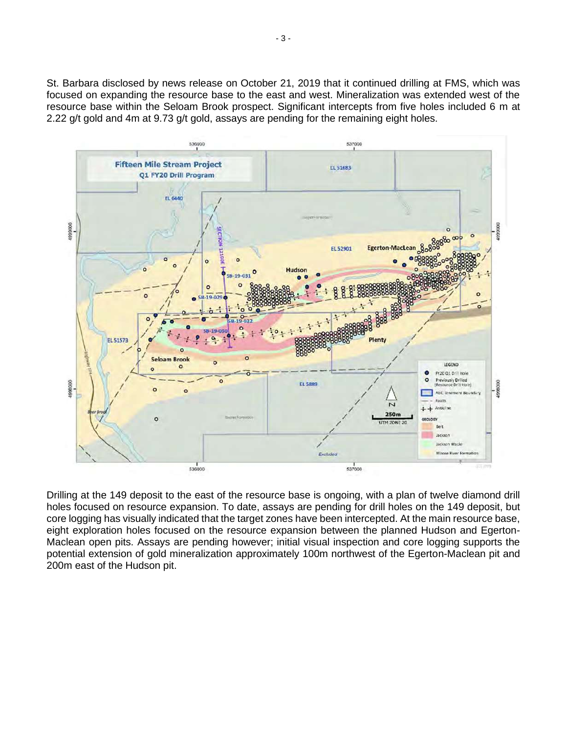St. Barbara disclosed by news release on October 21, 2019 that it continued drilling at FMS, which was focused on expanding the resource base to the east and west. Mineralization was extended west of the resource base within the Seloam Brook prospect. Significant intercepts from five holes included 6 m at 2.22 g/t gold and 4m at 9.73 g/t gold, assays are pending for the remaining eight holes.



Drilling at the 149 deposit to the east of the resource base is ongoing, with a plan of twelve diamond drill holes focused on resource expansion. To date, assays are pending for drill holes on the 149 deposit, but core logging has visually indicated that the target zones have been intercepted. At the main resource base, eight exploration holes focused on the resource expansion between the planned Hudson and Egerton-Maclean open pits. Assays are pending however; initial visual inspection and core logging supports the potential extension of gold mineralization approximately 100m northwest of the Egerton-Maclean pit and 200m east of the Hudson pit.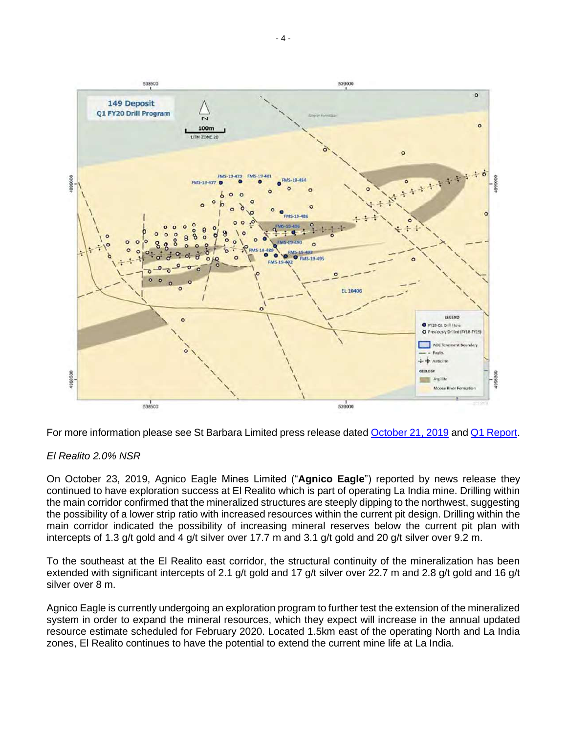

For more information please see St Barbara Limited press release date[d October 21, 2019](https://stbarbara.com.au/wp-content/uploads/2019/10/2019.10.21-asx-presentation-on-q1-september-fy20-and-audio-webcast.pdf) and [Q1 Report.](https://stbarbara.com.au/wp-content/uploads/2019/10/2019.10.21-quarterly-report-q1-sep-fy20.pdf)

### *El Realito 2.0% NSR*

On October 23, 2019, Agnico Eagle Mines Limited ("**Agnico Eagle**") reported by news release they continued to have exploration success at El Realito which is part of operating La India mine. Drilling within the main corridor confirmed that the mineralized structures are steeply dipping to the northwest, suggesting the possibility of a lower strip ratio with increased resources within the current pit design. Drilling within the main corridor indicated the possibility of increasing mineral reserves below the current pit plan with intercepts of 1.3 g/t gold and 4 g/t silver over 17.7 m and 3.1 g/t gold and 20 g/t silver over 9.2 m.

To the southeast at the El Realito east corridor, the structural continuity of the mineralization has been extended with significant intercepts of 2.1 g/t gold and 17 g/t silver over 22.7 m and 2.8 g/t gold and 16 g/t silver over 8 m.

Agnico Eagle is currently undergoing an exploration program to further test the extension of the mineralized system in order to expand the mineral resources, which they expect will increase in the annual updated resource estimate scheduled for February 2020. Located 1.5km east of the operating North and La India zones, El Realito continues to have the potential to extend the current mine life at La India.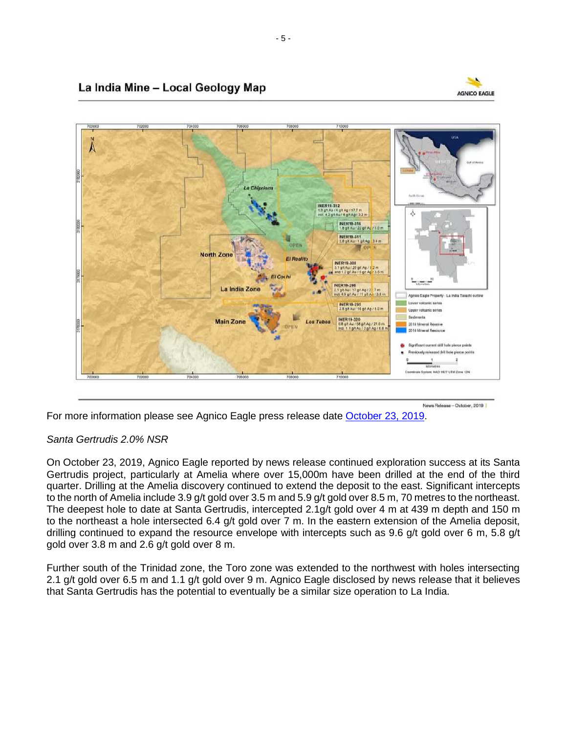

## La India Mine - Local Geology Map



For more information please see Agnico Eagle press release date [October 23, 2019.](https://www.agnicoeagle.com/English/investor-relations/news-and-events/news-releases/news-release-details/2019/Agnico-Eagle-Reports-Third-Quarter-2019-Results-Record-Quarterly-Gold-Production-Amaruq-Declares-Commercial-Production-Free-Cash-Flow-Generation-Drives-40-Increase-in-Dividend-Exploration-Drilling-Continues-to-Advance-Minesite-and-Pipeline-Projects/default.aspx)

## *Santa Gertrudis 2.0% NSR*

On October 23, 2019, Agnico Eagle reported by news release continued exploration success at its Santa Gertrudis project, particularly at Amelia where over 15,000m have been drilled at the end of the third quarter. Drilling at the Amelia discovery continued to extend the deposit to the east. Significant intercepts to the north of Amelia include 3.9 g/t gold over 3.5 m and 5.9 g/t gold over 8.5 m, 70 metres to the northeast. The deepest hole to date at Santa Gertrudis, intercepted 2.1g/t gold over 4 m at 439 m depth and 150 m to the northeast a hole intersected 6.4 g/t gold over 7 m. In the eastern extension of the Amelia deposit, drilling continued to expand the resource envelope with intercepts such as 9.6 g/t gold over 6 m, 5.8 g/t gold over 3.8 m and 2.6 g/t gold over 8 m.

Further south of the Trinidad zone, the Toro zone was extended to the northwest with holes intersecting 2.1 g/t gold over 6.5 m and 1.1 g/t gold over 9 m. Agnico Eagle disclosed by news release that it believes that Santa Gertrudis has the potential to eventually be a similar size operation to La India.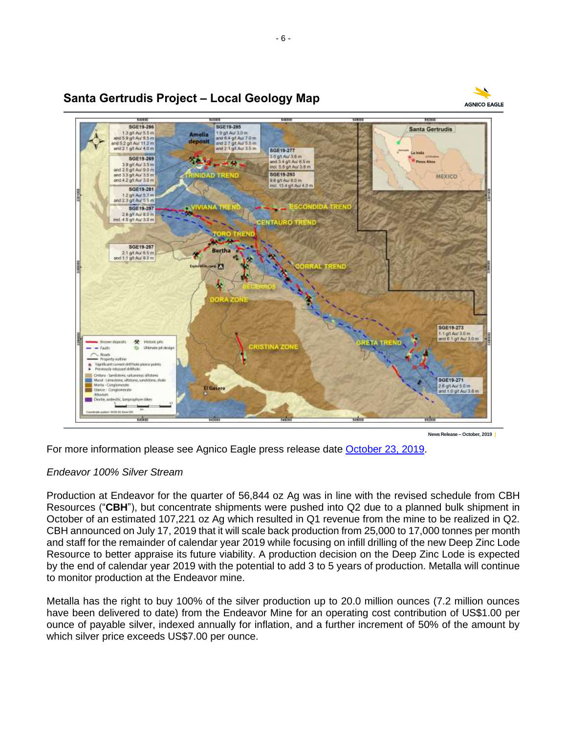

### **Santa Gertrudis Project – Local Geology Map**

**News Release – October, 2019**

**AGNICO EAGLE** 

For more information please see Agnico Eagle press release date [October 23, 2019.](https://www.agnicoeagle.com/English/investor-relations/news-and-events/news-releases/news-release-details/2019/Agnico-Eagle-Reports-Third-Quarter-2019-Results-Record-Quarterly-Gold-Production-Amaruq-Declares-Commercial-Production-Free-Cash-Flow-Generation-Drives-40-Increase-in-Dividend-Exploration-Drilling-Continues-to-Advance-Minesite-and-Pipeline-Projects/default.aspx)

#### *Endeavor 100% Silver Stream*

Production at Endeavor for the quarter of 56,844 oz Ag was in line with the revised schedule from CBH Resources ("**CBH**"), but concentrate shipments were pushed into Q2 due to a planned bulk shipment in October of an estimated 107,221 oz Ag which resulted in Q1 revenue from the mine to be realized in Q2. CBH announced on July 17, 2019 that it will scale back production from 25,000 to 17,000 tonnes per month and staff for the remainder of calendar year 2019 while focusing on infill drilling of the new Deep Zinc Lode Resource to better appraise its future viability. A production decision on the Deep Zinc Lode is expected by the end of calendar year 2019 with the potential to add 3 to 5 years of production. Metalla will continue to monitor production at the Endeavor mine.

Metalla has the right to buy 100% of the silver production up to 20.0 million ounces (7.2 million ounces have been delivered to date) from the Endeavor Mine for an operating cost contribution of US\$1.00 per ounce of payable silver, indexed annually for inflation, and a further increment of 50% of the amount by which silver price exceeds US\$7.00 per ounce.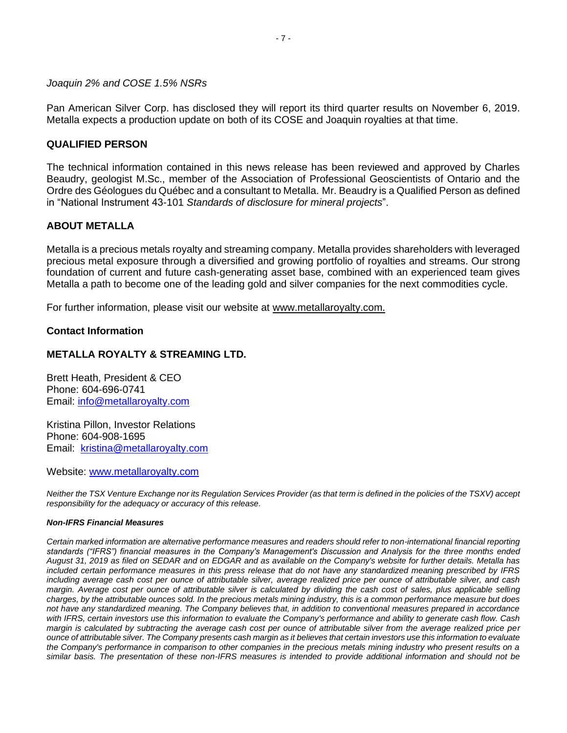*Joaquin 2% and COSE 1.5% NSRs*

Pan American Silver Corp. has disclosed they will report its third quarter results on November 6, 2019. Metalla expects a production update on both of its COSE and Joaquin royalties at that time.

#### **QUALIFIED PERSON**

The technical information contained in this news release has been reviewed and approved by Charles Beaudry, geologist M.Sc., member of the Association of Professional Geoscientists of Ontario and the Ordre des Géologues du Québec and a consultant to Metalla. Mr. Beaudry is a Qualified Person as defined in "National Instrument 43-101 *Standards of disclosure for mineral projects*".

### **ABOUT METALLA**

Metalla is a precious metals royalty and streaming company. Metalla provides shareholders with leveraged precious metal exposure through a diversified and growing portfolio of royalties and streams. Our strong foundation of current and future cash-generating asset base, combined with an experienced team gives Metalla a path to become one of the leading gold and silver companies for the next commodities cycle.

For further information, please visit our website at [www.metallaroyalty.com.](http://www.metallaroyalty.com/)

#### **Contact Information**

#### **METALLA ROYALTY & STREAMING LTD.**

Brett Heath, President & CEO Phone: [604-696-0741](tel:604-696-0741) Email: [info@metallaroyalty.com](mailto:info@metallaroyalty.com)

Kristina Pillon, Investor Relations Phone: 604-908-1695 Email: [kristina@metallaroyalty.com](mailto:kristina@metallaroyalty.com)

Website: [www.metallaroyalty.com](http://www.metallaroyalty.com/)

*Neither the TSX Venture Exchange nor its Regulation Services Provider (as that term is defined in the policies of the TSXV) accept responsibility for the adequacy or accuracy of this release.*

#### *Non-IFRS Financial Measures*

*Certain marked information are alternative performance measures and readers should refer to non-international financial reporting standards ("IFRS") financial measures in the Company's Management's Discussion and Analysis for the three months ended August 31, 2019 as filed on SEDAR and on EDGAR and as available on the Company's website for further details. Metalla has included certain performance measures in this press release that do not have any standardized meaning prescribed by IFRS including average cash cost per ounce of attributable silver, average realized price per ounce of attributable silver, and cash margin. Average cost per ounce of attributable silver is calculated by dividing the cash cost of sales, plus applicable selling charges, by the attributable ounces sold. In the precious metals mining industry, this is a common performance measure but does not have any standardized meaning. The Company believes that, in addition to conventional measures prepared in accordance with IFRS, certain investors use this information to evaluate the Company's performance and ability to generate cash flow. Cash margin is calculated by subtracting the average cash cost per ounce of attributable silver from the average realized price per ounce of attributable silver. The Company presents cash margin as it believes that certain investors use this information to evaluate the Company's performance in comparison to other companies in the precious metals mining industry who present results on a similar basis. The presentation of these non-IFRS measures is intended to provide additional information and should not be*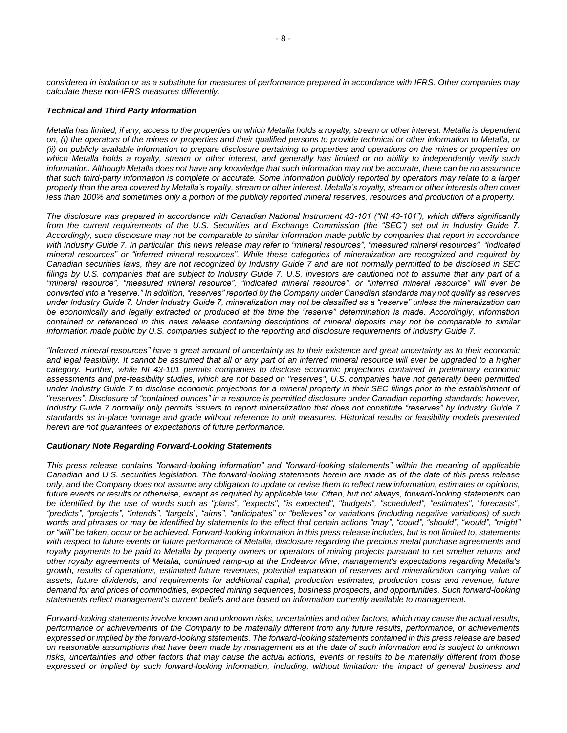*considered in isolation or as a substitute for measures of performance prepared in accordance with IFRS. Other companies may calculate these non-IFRS measures differently.*

#### *Technical and Third Party Information*

*Metalla has limited, if any, access to the properties on which Metalla holds a royalty, stream or other interest. Metalla is dependent on, (i) the operators of the mines or properties and their qualified persons to provide technical or other information to Metalla, or (ii) on publicly available information to prepare disclosure pertaining to properties and operations on the mines or properties on which Metalla holds a royalty, stream or other interest, and generally has limited or no ability to independently verify such information. Although Metalla does not have any knowledge that such information may not be accurate, there can be no assurance that such third-party information is complete or accurate. Some information publicly reported by operators may relate to a larger property than the area covered by Metalla's royalty, stream or other interest. Metalla's royalty, stream or other interests often cover less than 100% and sometimes only a portion of the publicly reported mineral reserves, resources and production of a property.*

*The disclosure was prepared in accordance with Canadian National Instrument 43-101 ("NI 43-101"), which differs significantly from the current requirements of the U.S. Securities and Exchange Commission (the "SEC") set out in Industry Guide 7. Accordingly, such disclosure may not be comparable to similar information made public by companies that report in accordance with Industry Guide 7. In particular, this news release may refer to "mineral resources", "measured mineral resources", "indicated mineral resources" or "inferred mineral resources". While these categories of mineralization are recognized and required by Canadian securities laws, they are not recognized by Industry Guide 7 and are not normally permitted to be disclosed in SEC filings by U.S. companies that are subject to Industry Guide 7. U.S. investors are cautioned not to assume that any part of a "mineral resource", "measured mineral resource", "indicated mineral resource", or "inferred mineral resource" will ever be converted into a "reserve." In addition, "reserves" reported by the Company under Canadian standards may not qualify as reserves under Industry Guide 7. Under Industry Guide 7, mineralization may not be classified as a "reserve" unless the mineralization can*  be economically and legally extracted or produced at the time the "reserve" determination is made. Accordingly, information *contained or referenced in this news release containing descriptions of mineral deposits may not be comparable to similar information made public by U.S. companies subject to the reporting and disclosure requirements of Industry Guide 7.*

*"Inferred mineral resources" have a great amount of uncertainty as to their existence and great uncertainty as to their economic and legal feasibility. It cannot be assumed that all or any part of an inferred mineral resource will ever be upgraded to a higher category. Further, while NI 43-101 permits companies to disclose economic projections contained in preliminary economic assessments and pre-feasibility studies, which are not based on "reserves", U.S. companies have not generally been permitted under Industry Guide 7 to disclose economic projections for a mineral property in their SEC filings prior to the establishment of "reserves". Disclosure of "contained ounces" in a resource is permitted disclosure under Canadian reporting standards; however, Industry Guide 7 normally only permits issuers to report mineralization that does not constitute "reserves" by Industry Guide 7 standards as in-place tonnage and grade without reference to unit measures. Historical results or feasibility models presented herein are not guarantees or expectations of future performance.*

#### *Cautionary Note Regarding Forward-Looking Statements*

*This press release contains "forward-looking information" and "forward-looking statements" within the meaning of applicable Canadian and U.S. securities legislation. The forward-looking statements herein are made as of the date of this press release only, and the Company does not assume any obligation to update or revise them to reflect new information, estimates or opinions, future events or results or otherwise, except as required by applicable law. Often, but not always, forward-looking statements can be identified by the use of words such as "plans", "expects", "is expected", "budgets", "scheduled", "estimates", "forecasts", "predicts", "projects", "intends", "targets", "aims", "anticipates" or "believes" or variations (including negative variations) of such words and phrases or may be identified by statements to the effect that certain actions "may", "could", "should", "would", "might" or "will" be taken, occur or be achieved. Forward-looking information in this press release includes, but is not limited to, statements*  with respect to future events or future performance of Metalla, disclosure regarding the precious metal purchase agreements and *royalty payments to be paid to Metalla by property owners or operators of mining projects pursuant to net smelter returns and other royalty agreements of Metalla, continued ramp-up at the Endeavor Mine, management's expectations regarding Metalla's growth, results of operations, estimated future revenues, potential expansion of reserves and mineralization carrying value of assets, future dividends, and requirements for additional capital, production estimates, production costs and revenue, future demand for and prices of commodities, expected mining sequences, business prospects, and opportunities. Such forward-looking statements reflect management's current beliefs and are based on information currently available to management.*

*Forward-looking statements involve known and unknown risks, uncertainties and other factors, which may cause the actual results, performance or achievements of the Company to be materially different from any future results, performance, or achievements expressed or implied by the forward-looking statements. The forward-looking statements contained in this press release are based on reasonable assumptions that have been made by management as at the date of such information and is subject to unknown*  risks, uncertainties and other factors that may cause the actual actions, events or results to be materially different from those *expressed or implied by such forward-looking information, including, without limitation: the impact of general business and*